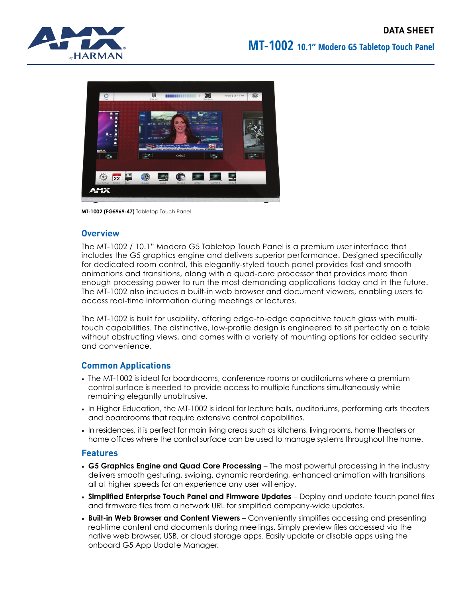

**MT-1002 (FG5969-47)** Tabletop Touch Panel

## **Overview**

The MT-1002 / 10.1" Modero G5 Tabletop Touch Panel is a premium user interface that includes the G5 graphics engine and delivers superior performance. Designed specifically for dedicated room control, this elegantly-styled touch panel provides fast and smooth animations and transitions, along with a quad-core processor that provides more than enough processing power to run the most demanding applications today and in the future. The MT-1002 also includes a built-in web browser and document viewers, enabling users to access real-time information during meetings or lectures.

The MT-1002 is built for usability, offering edge-to-edge capacitive touch glass with multitouch capabilities. The distinctive, low-profile design is engineered to sit perfectly on a table without obstructing views, and comes with a variety of mounting options for added security and convenience.

## **Common Applications**

- The MT-1002 is ideal for boardrooms, conference rooms or auditoriums where a premium control surface is needed to provide access to multiple functions simultaneously while remaining elegantly unobtrusive.
- In Higher Education, the MT-1002 is ideal for lecture halls, auditoriums, performing arts theaters and boardrooms that require extensive control capabilities.
- In residences, it is perfect for main living areas such as kitchens, living rooms, home theaters or home offices where the control surface can be used to manage systems throughout the home.

## **Features**

- **• G5 Graphics Engine and Quad Core Processing** The most powerful processing in the industry delivers smooth gesturing, swiping, dynamic reordering, enhanced animation with transitions all at higher speeds for an experience any user will enjoy.
- **• Simplified Enterprise Touch Panel and Firmware Updates** Deploy and update touch panel files and firmware files from a network URL for simplified company-wide updates.
- **• Built-in Web Browser and Content Viewers** Conveniently simplifies accessing and presenting real-time content and documents during meetings. Simply preview files accessed via the native web browser, USB, or cloud storage apps. Easily update or disable apps using the onboard G5 App Update Manager.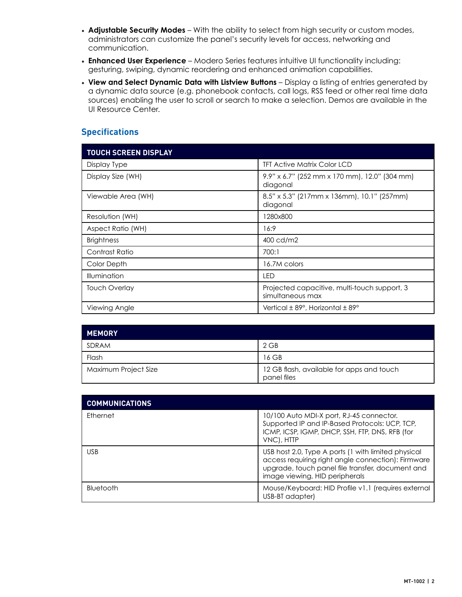- **• Adjustable Security Modes** With the ability to select from high security or custom modes, administrators can customize the panel's security levels for access, networking and communication.
- **• Enhanced User Experience** Modero Series features intuitive UI functionality including: gesturing, swiping, dynamic reordering and enhanced animation capabilities.
- **• View and Select Dynamic Data with Listview Buttons** Display a listing of entries generated by a dynamic data source (e.g. phonebook contacts, call logs, RSS feed or other real time data sources) enabling the user to scroll or search to make a selection. Demos are available in the UI Resource Center.

## **Specifications**

| <b>TOUCH SCREEN DISPLAY</b> |                                                                  |
|-----------------------------|------------------------------------------------------------------|
| Display Type                | <b>TFT Active Matrix Color LCD</b>                               |
| Display Size (WH)           | 9.9" x 6.7" (252 mm x 170 mm), 12.0" (304 mm)<br>diagonal        |
| Viewable Area (WH)          | 8.5" x 5.3" (217mm x 136mm), 10.1" (257mm)<br>diagonal           |
| Resolution (WH)             | 1280x800                                                         |
| Aspect Ratio (WH)           | 16:9                                                             |
| <b>Brightness</b>           | 400 cd/m2                                                        |
| Contrast Ratio              | 700:1                                                            |
| Color Depth                 | 16.7M colors                                                     |
| <b>Illumination</b>         | LED                                                              |
| <b>Touch Overlay</b>        | Projected capacitive, multi-touch support, 3<br>simultaneous max |
| Viewing Angle               | Vertical $\pm$ 89°, Horizontal $\pm$ 89°                         |

| <b>MEMORY</b>        |                                                          |
|----------------------|----------------------------------------------------------|
| SDRAM                | $2$ GB                                                   |
| Flash                | 16 GB                                                    |
| Maximum Project Size | 12 GB flash, available for apps and touch<br>panel files |

| <b>COMMUNICATIONS</b> |                                                                                                                                                                                                 |
|-----------------------|-------------------------------------------------------------------------------------------------------------------------------------------------------------------------------------------------|
| Ethernet              | 10/100 Auto MDI-X port, RJ-45 connector.<br>Supported IP and IP-Based Protocols: UCP, TCP,<br>ICMP, ICSP, IGMP, DHCP, SSH, FTP, DNS, RFB (for<br>VNC), HTTP                                     |
| <b>USB</b>            | USB host 2.0, Type A ports (1 with limited physical<br>access requiring right angle connection): Firmware<br>upgrade, touch panel file transfer, document and<br>image viewing, HID peripherals |
| Bluetooth             | Mouse/Keyboard: HID Profile v1.1 (requires external<br>USB-BT adapter)                                                                                                                          |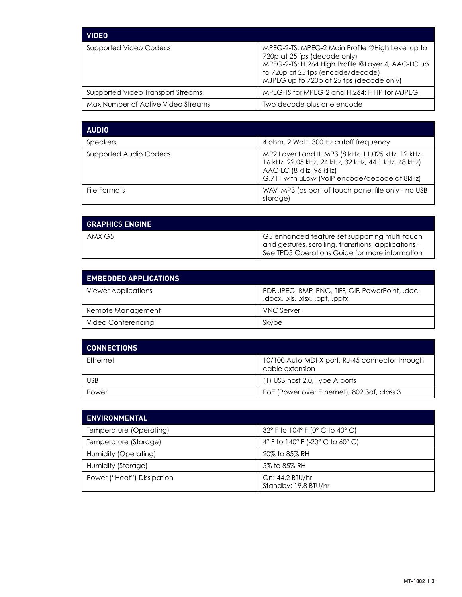| <b>VIDEO</b>                       |                                                                                                                                                                                                                        |
|------------------------------------|------------------------------------------------------------------------------------------------------------------------------------------------------------------------------------------------------------------------|
| Supported Video Codecs             | MPEG-2-TS: MPEG-2 Main Profile @High Level up to<br>720p at 25 fps (decode only)<br>MPEG-2-TS: H.264 High Profile @Layer 4, AAC-LC up<br>to 720p at 25 fps (encode/decode)<br>MJPEG up to 720p at 25 fps (decode only) |
| Supported Video Transport Streams  | MPEG-TS for MPEG-2 and H.264; HTTP for MJPEG                                                                                                                                                                           |
| Max Number of Active Video Streams | Two decode plus one encode                                                                                                                                                                                             |

| <b>AUDIO</b>           |                                                                                                                                                                                       |
|------------------------|---------------------------------------------------------------------------------------------------------------------------------------------------------------------------------------|
| <b>Speakers</b>        | 4 ohm, 2 Watt, 300 Hz cutoff frequency                                                                                                                                                |
| Supported Audio Codecs | MP2 Layer I and II, MP3 (8 kHz, 11.025 kHz, 12 kHz,<br>16 kHz, 22.05 kHz, 24 kHz, 32 kHz, 44.1 kHz, 48 kHz)<br>AAC-LC (8 kHz, 96 kHz)<br>G.711 with µLaw (VoIP encode/decode at 8kHz) |
| File Formats           | WAV, MP3 (as part of touch panel file only - no USB<br>storage)                                                                                                                       |

| <b>GRAPHICS ENGINE</b> |                                                                                                                                                          |
|------------------------|----------------------------------------------------------------------------------------------------------------------------------------------------------|
| AMX G5                 | G5 enhanced feature set supporting multi-touch<br>and gestures, scrolling, transitions, applications -<br>See TPD5 Operations Guide for more information |

| <b>EMBEDDED APPLICATIONS</b> |                                                                                      |
|------------------------------|--------------------------------------------------------------------------------------|
| <b>Viewer Applications</b>   | PDF, JPEG, BMP, PNG, TIFF, GIF, PowerPoint, .doc,<br>.docx, .xls, .xlsx, .ppt, .pptx |
| Remote Management            | <b>VNC Server</b>                                                                    |
| Video Conferencing           | Skype                                                                                |

| <b>CONNECTIONS</b> |                                                                    |
|--------------------|--------------------------------------------------------------------|
| Ethernet           | 10/100 Auto MDI-X port, RJ-45 connector through<br>cable extension |
| <b>USB</b>         | $(1)$ USB host 2.0, Type A ports                                   |
| Power              | PoE (Power over Ethernet), 802.3af, class 3                        |

| <b>ENVIRONMENTAL</b>       |                                         |
|----------------------------|-----------------------------------------|
| Temperature (Operating)    | 32° F to 104° F (0° C to 40° C)         |
| Temperature (Storage)      | 4° F to 140° F (-20° C to 60° C)        |
| Humidity (Operating)       | 20% to 85% RH                           |
| Humidity (Storage)         | 5% to 85% RH                            |
| Power ("Heat") Dissipation | On: 44.2 BTU/hr<br>Standby: 19.8 BTU/hr |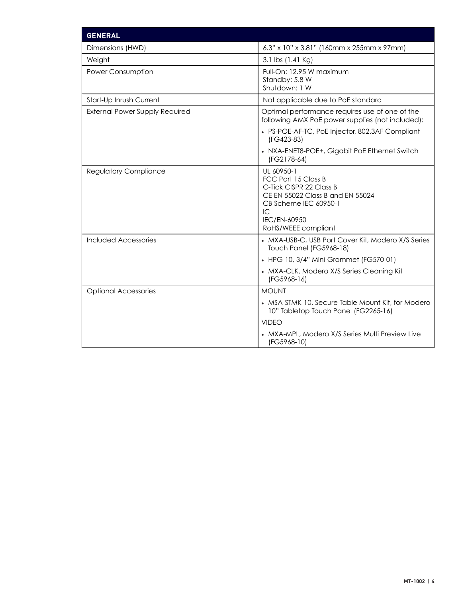| <b>GENERAL</b>                        |                                                                                                                                                                        |
|---------------------------------------|------------------------------------------------------------------------------------------------------------------------------------------------------------------------|
| Dimensions (HWD)                      | 6.3" x 10" x 3.81" (160mm x 255mm x 97mm)                                                                                                                              |
| Weight                                | 3.1 lbs (1.41 Kg)                                                                                                                                                      |
| Power Consumption                     | Full-On: 12.95 W maximum<br>Standby: 5.8 W<br>Shutdown: 1 W                                                                                                            |
| Start-Up Inrush Current               | Not applicable due to PoE standard                                                                                                                                     |
| <b>External Power Supply Required</b> | Optimal performance requires use of one of the<br>following AMX PoE power supplies (not included):                                                                     |
|                                       | • PS-POE-AF-TC, PoE Injector, 802.3AF Compliant<br>(FG423-83)                                                                                                          |
|                                       | • NXA-ENET8-POE+, Gigabit PoE Ethernet Switch<br>(FG2178-64)                                                                                                           |
| <b>Regulatory Compliance</b>          | UL 60950-1<br>FCC Part 15 Class B<br>C-Tick CISPR 22 Class B<br>CE EN 55022 Class B and EN 55024<br>CB Scheme IEC 60950-1<br>IC<br>IEC/EN-60950<br>RoHS/WEEE compliant |
| Included Accessories                  | • MXA-USB-C, USB Port Cover Kit, Modero X/S Series<br>Touch Panel (FG5968-18)                                                                                          |
|                                       | • HPG-10, 3/4" Mini-Grommet (FG570-01)                                                                                                                                 |
|                                       | • MXA-CLK, Modero X/S Series Cleaning Kit<br>(FG5968-16)                                                                                                               |
| <b>Optional Accessories</b>           | <b>MOUNT</b>                                                                                                                                                           |
|                                       | • MSA-STMK-10, Secure Table Mount Kit, for Modero<br>10" Tabletop Touch Panel (FG2265-16)                                                                              |
|                                       | <b>VIDEO</b>                                                                                                                                                           |
|                                       | • MXA-MPL, Modero X/S Series Multi Preview Live<br>(FG5968-10)                                                                                                         |